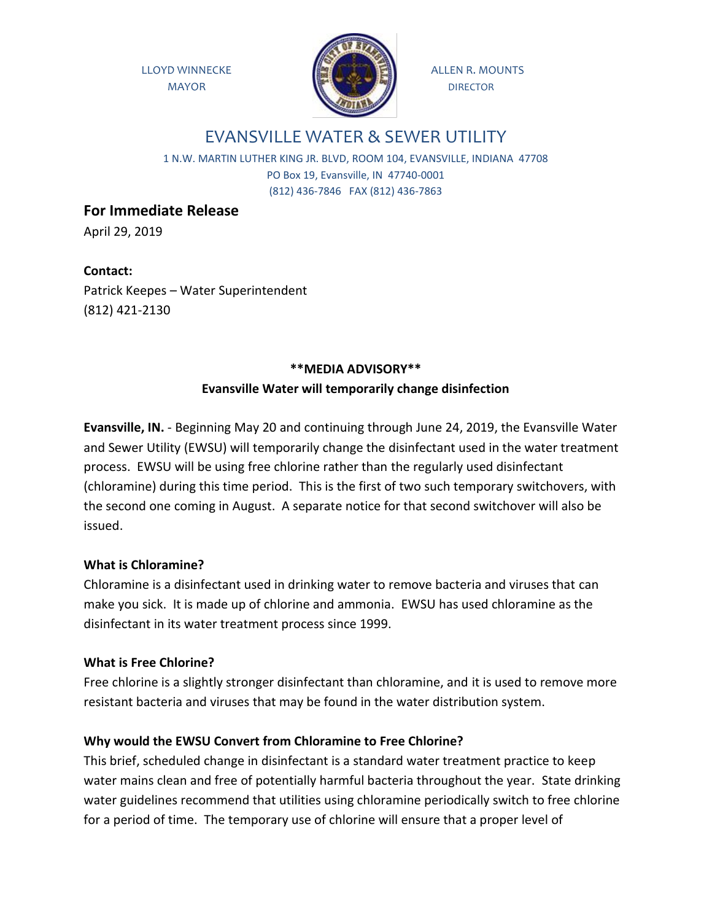

# EVANSVILLE WATER & SEWER UTILITY

1 N.W. MARTIN LUTHER KING JR. BLVD, ROOM 104, EVANSVILLE, INDIANA 47708 PO Box 19, Evansville, IN 47740-0001 (812) 436-7846 FAX (812) 436-7863

**For Immediate Release**

April 29, 2019

**Contact:** Patrick Keepes – Water Superintendent (812) 421-2130

## **\*\*MEDIA ADVISORY\*\* Evansville Water will temporarily change disinfection**

**Evansville, IN.** - Beginning May 20 and continuing through June 24, 2019, the Evansville Water and Sewer Utility (EWSU) will temporarily change the disinfectant used in the water treatment process. EWSU will be using free chlorine rather than the regularly used disinfectant (chloramine) during this time period. This is the first of two such temporary switchovers, with the second one coming in August. A separate notice for that second switchover will also be issued.

## **What is Chloramine?**

Chloramine is a disinfectant used in drinking water to remove bacteria and viruses that can make you sick. It is made up of chlorine and ammonia. EWSU has used chloramine as the disinfectant in its water treatment process since 1999.

## **What is Free Chlorine?**

Free chlorine is a slightly stronger disinfectant than chloramine, and it is used to remove more resistant bacteria and viruses that may be found in the water distribution system.

## **Why would the EWSU Convert from Chloramine to Free Chlorine?**

This brief, scheduled change in disinfectant is a standard water treatment practice to keep water mains clean and free of potentially harmful bacteria throughout the year. State drinking water guidelines recommend that utilities using chloramine periodically switch to free chlorine for a period of time. The temporary use of chlorine will ensure that a proper level of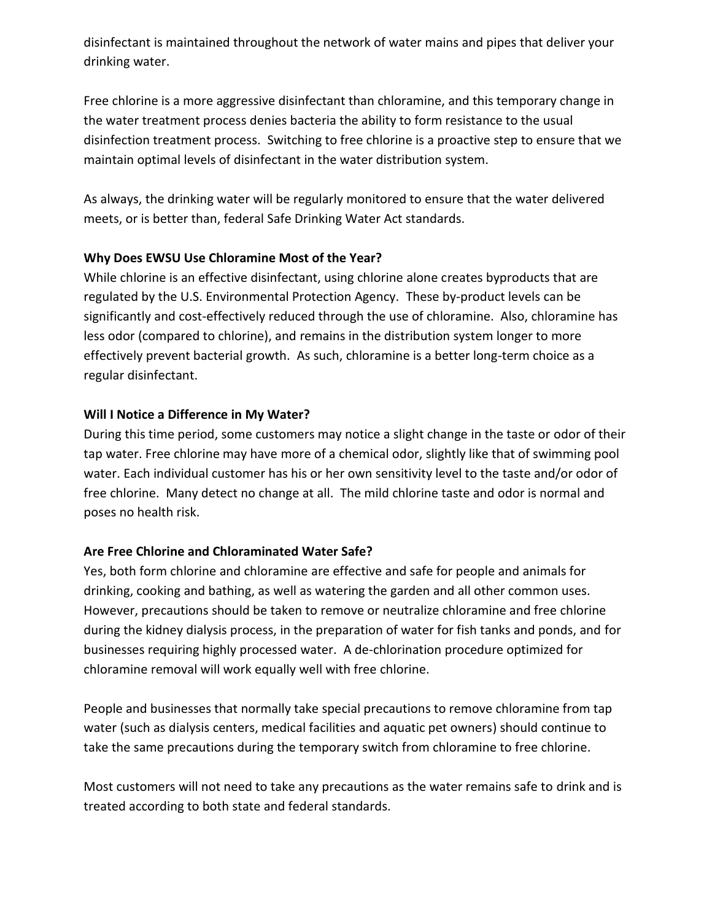disinfectant is maintained throughout the network of water mains and pipes that deliver your drinking water.

Free chlorine is a more aggressive disinfectant than chloramine, and this temporary change in the water treatment process denies bacteria the ability to form resistance to the usual disinfection treatment process. Switching to free chlorine is a proactive step to ensure that we maintain optimal levels of disinfectant in the water distribution system.

As always, the drinking water will be regularly monitored to ensure that the water delivered meets, or is better than, federal Safe Drinking Water Act standards.

## **Why Does EWSU Use Chloramine Most of the Year?**

While chlorine is an effective disinfectant, using chlorine alone creates byproducts that are regulated by the U.S. Environmental Protection Agency. These by-product levels can be significantly and cost-effectively reduced through the use of chloramine. Also, chloramine has less odor (compared to chlorine), and remains in the distribution system longer to more effectively prevent bacterial growth. As such, chloramine is a better long-term choice as a regular disinfectant.

#### **Will I Notice a Difference in My Water?**

During this time period, some customers may notice a slight change in the taste or odor of their tap water. Free chlorine may have more of a chemical odor, slightly like that of swimming pool water. Each individual customer has his or her own sensitivity level to the taste and/or odor of free chlorine. Many detect no change at all. The mild chlorine taste and odor is normal and poses no health risk.

## **Are Free Chlorine and Chloraminated Water Safe?**

Yes, both form chlorine and chloramine are effective and safe for people and animals for drinking, cooking and bathing, as well as watering the garden and all other common uses. However, precautions should be taken to remove or neutralize chloramine and free chlorine during the kidney dialysis process, in the preparation of water for fish tanks and ponds, and for businesses requiring highly processed water. A de-chlorination procedure optimized for chloramine removal will work equally well with free chlorine.

People and businesses that normally take special precautions to remove chloramine from tap water (such as dialysis centers, medical facilities and aquatic pet owners) should continue to take the same precautions during the temporary switch from chloramine to free chlorine.

Most customers will not need to take any precautions as the water remains safe to drink and is treated according to both state and federal standards.